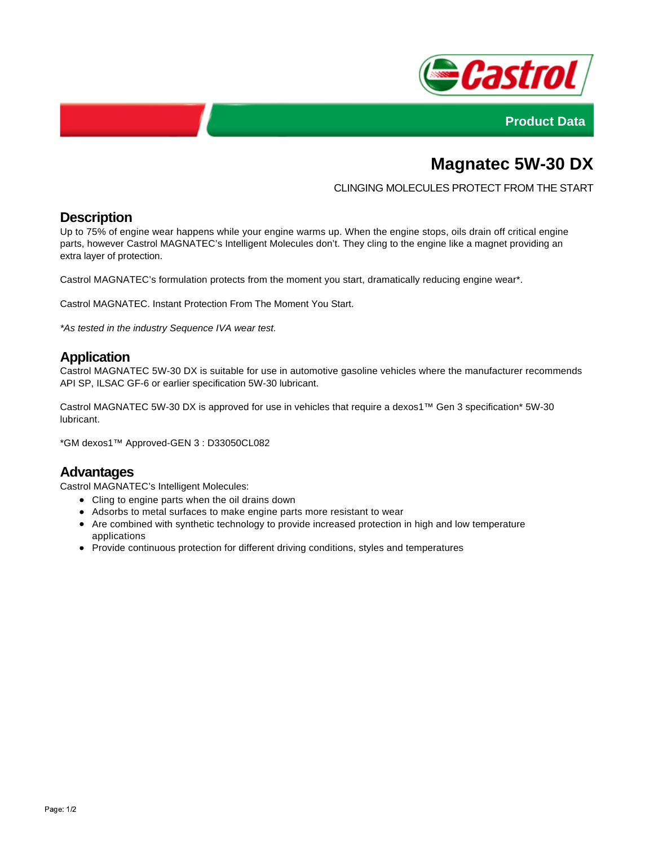



# **Magnatec 5W-30 DX**

#### CLINGING MOLECULES PROTECT FROM THE START

#### **Description**

Up to 75% of engine wear happens while your engine warms up. When the engine stops, oils drain off critical engine parts, however Castrol MAGNATEC's Intelligent Molecules don't. They cling to the engine like a magnet providing an extra layer of protection.

Castrol MAGNATEC's formulation protects from the moment you start, dramatically reducing engine wear\*.

Castrol MAGNATEC. Instant Protection From The Moment You Start.

\*As tested in the industry Sequence IVA wear test.

#### **Application**

Castrol MAGNATEC 5W-30 DX is suitable for use in automotive gasoline vehicles where the manufacturer recommends API SP, ILSAC GF-6 or earlier specification 5W-30 lubricant.

Castrol MAGNATEC 5W-30 DX is approved for use in vehicles that require a dexos1™ Gen 3 specification\* 5W-30 lubricant.

\*GM dexos1™ Approved-GEN 3 : D33050CL082

#### **Advantages**

Castrol MAGNATEC's Intelligent Molecules:

- Cling to engine parts when the oil drains down
- Adsorbs to metal surfaces to make engine parts more resistant to wear
- Are combined with synthetic technology to provide increased protection in high and low temperature applications
- Provide continuous protection for different driving conditions, styles and temperatures